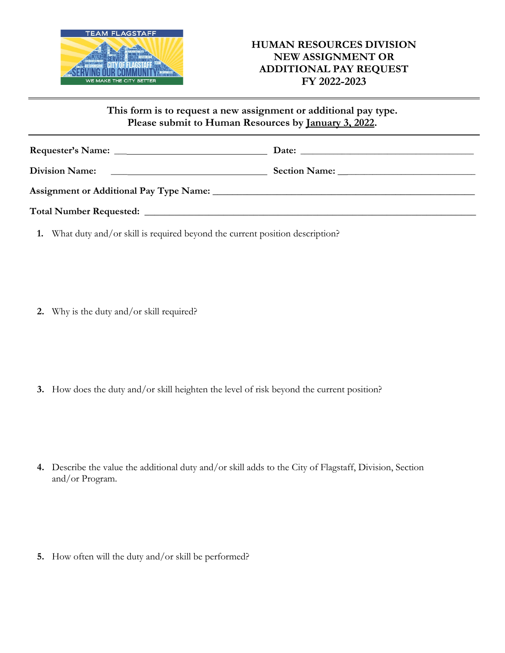

**This form is to request a new assignment or additional pay type. Please submit to Human Resources by January 3, 2022.** 

| Division Name: 2008. [1] Division Name: |  |
|-----------------------------------------|--|
|                                         |  |
|                                         |  |

**1.** What duty and/or skill is required beyond the current position description?

**2.** Why is the duty and/or skill required?

**3.** How does the duty and/or skill heighten the level of risk beyond the current position?

**4.** Describe the value the additional duty and/or skill adds to the City of Flagstaff, Division, Section and/or Program.

**5.** How often will the duty and/or skill be performed?